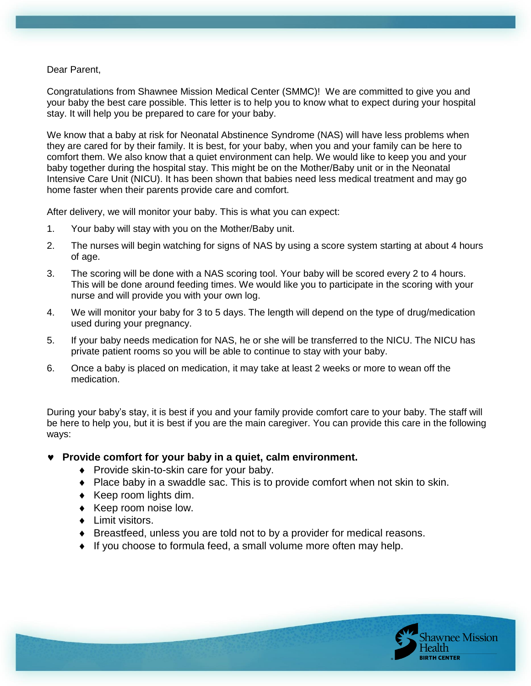Dear Parent,

Congratulations from Shawnee Mission Medical Center (SMMC)! We are committed to give you and your baby the best care possible. This letter is to help you to know what to expect during your hospital stay. It will help you be prepared to care for your baby.

We know that a baby at risk for Neonatal Abstinence Syndrome (NAS) will have less problems when they are cared for by their family. It is best, for your baby, when you and your family can be here to comfort them. We also know that a quiet environment can help. We would like to keep you and your baby together during the hospital stay. This might be on the Mother/Baby unit or in the Neonatal Intensive Care Unit (NICU). It has been shown that babies need less medical treatment and may go home faster when their parents provide care and comfort.

After delivery, we will monitor your baby. This is what you can expect:

- 1. Your baby will stay with you on the Mother/Baby unit.
- 2. The nurses will begin watching for signs of NAS by using a score system starting at about 4 hours of age.
- 3. The scoring will be done with a NAS scoring tool. Your baby will be scored every 2 to 4 hours. This will be done around feeding times. We would like you to participate in the scoring with your nurse and will provide you with your own log.
- 4. We will monitor your baby for 3 to 5 days. The length will depend on the type of drug/medication used during your pregnancy.
- 5. If your baby needs medication for NAS, he or she will be transferred to the NICU. The NICU has private patient rooms so you will be able to continue to stay with your baby.
- 6. Once a baby is placed on medication, it may take at least 2 weeks or more to wean off the medication.

During your baby's stay, it is best if you and your family provide comfort care to your baby. The staff will be here to help you, but it is best if you are the main caregiver. You can provide this care in the following ways:

- Provide comfort for your baby in a quiet, calm environment.
	- ◆ Provide skin-to-skin care for your baby.
	- Place baby in a swaddle sac. This is to provide comfort when not skin to skin.
	- $\triangleleft$  Keep room lights dim.
	- ◆ Keep room noise low.
	- **+** Limit visitors.
	- Breastfeed, unless you are told not to by a provider for medical reasons.
	- If you choose to formula feed, a small volume more often may help.